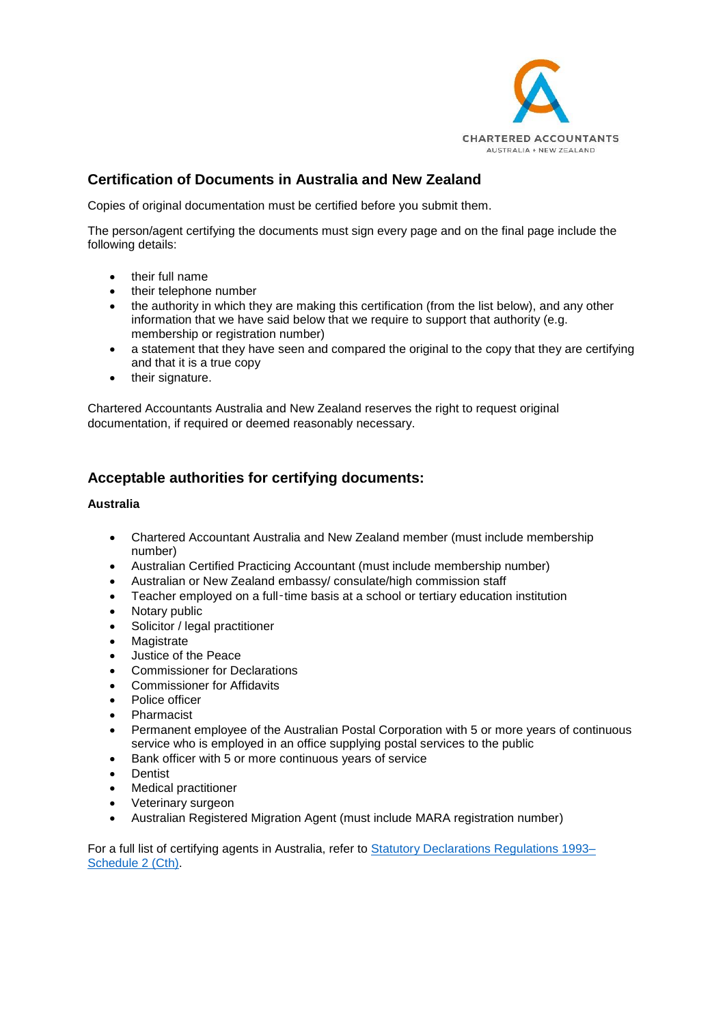

# **Certification of Documents in Australia and New Zealand**

Copies of original documentation must be certified before you submit them.

The person/agent certifying the documents must sign every page and on the final page include the following details:

- their full name
- their telephone number
- the authority in which they are making this certification (from the list below), and any other information that we have said below that we require to support that authority (e.g. membership or registration number)
- a statement that they have seen and compared the original to the copy that they are certifying and that it is a true copy
- their signature.

Chartered Accountants Australia and New Zealand reserves the right to request original documentation, if required or deemed reasonably necessary.

### **Acceptable authorities for certifying documents:**

#### **Australia**

- Chartered Accountant Australia and New Zealand member (must include membership number)
- Australian Certified Practicing Accountant (must include membership number)
- Australian or New Zealand embassy/ consulate/high commission staff
- Teacher employed on a full-time basis at a school or tertiary education institution
- Notary public
- Solicitor / legal practitioner
- Magistrate
- Justice of the Peace
- Commissioner for Declarations
- Commissioner for Affidavits
- Police officer
- Pharmacist
- Permanent employee of the Australian Postal Corporation with 5 or more years of continuous service who is employed in an office supplying postal services to the public
- Bank officer with 5 or more continuous years of service
- Dentist
- Medical practitioner
- Veterinary surgeon
- Australian Registered Migration Agent (must include MARA registration number)

For a full list of certifying agents in Australia, refer to [Statutory Declarations Regulations 1993–](https://www.legislation.gov.au/Details/F2016C00590) [Schedule 2](https://www.legislation.gov.au/Details/F2016C00590) (Cth).